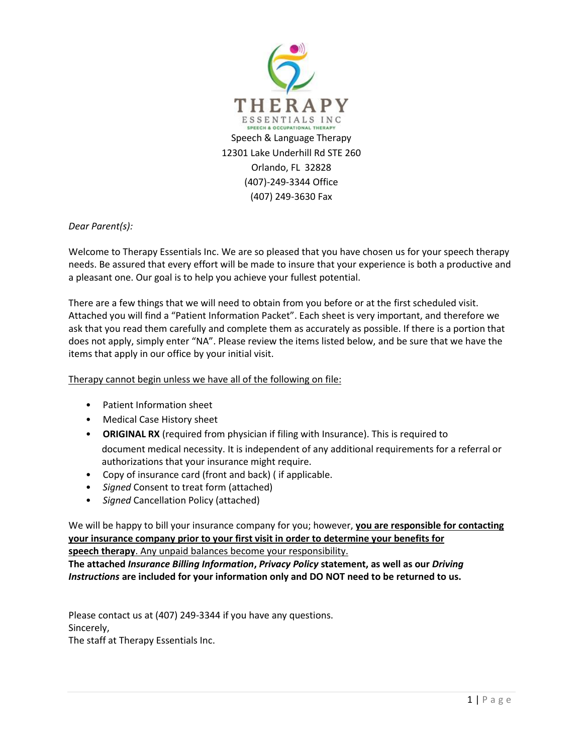

*Dear Parent(s):*

Welcome to Therapy Essentials Inc. We are so pleased that you have chosen us for your speech therapy needs. Be assured that every effort will be made to insure that your experience is both a productive and a pleasant one. Our goal is to help you achieve your fullest potential.

There are a few things that we will need to obtain from you before or at the first scheduled visit. Attached you will find a "Patient Information Packet". Each sheet is very important, and therefore we ask that you read them carefully and complete them as accurately as possible. If there is a portion that does not apply, simply enter "NA". Please review the items listed below, and be sure that we have the items that apply in our office by your initial visit.

Therapy cannot begin unless we have all of the following on file:

- Patient Information sheet
- Medical Case History sheet
- **ORIGINAL RX** (required from physician if filing with Insurance). This is required to document medical necessity. It is independent of any additional requirements for a referral or authorizations that your insurance might require.
- Copy of insurance card (front and back) ( if applicable.
- *Signed* Consent to treat form (attached)
- *Signed* Cancellation Policy (attached)

We will be happy to bill your insurance company for you; however, **you are responsible for contacting your insurance company prior to your first visit in order to determine your benefits for speech therapy**. Any unpaid balances become your responsibility.

**The attached** *Insurance Billing Information***,** *Privacy Policy* **statement, as well as our** *Driving Instructions* **are included for your information only and DO NOT need to be returned to us.**

Please contact us at (407) 249-3344 if you have any questions. Sincerely, The staff at Therapy Essentials Inc.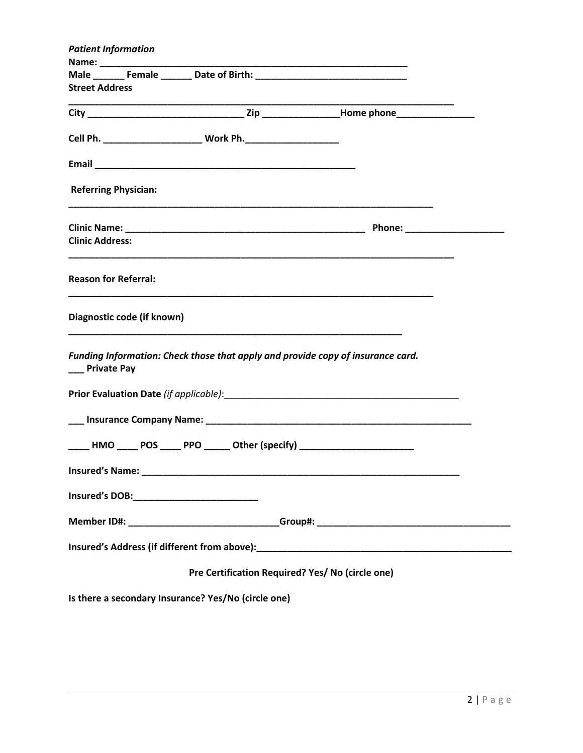| <b>Patient Information</b>                                               |  |                                                                                  |  |  |
|--------------------------------------------------------------------------|--|----------------------------------------------------------------------------------|--|--|
|                                                                          |  |                                                                                  |  |  |
|                                                                          |  | Male _________ Female ________ Date of Birth: __________________________________ |  |  |
| <b>Street Address</b>                                                    |  |                                                                                  |  |  |
|                                                                          |  |                                                                                  |  |  |
| Cell Ph. ________________________ Work Ph. _____________________         |  |                                                                                  |  |  |
|                                                                          |  |                                                                                  |  |  |
| <b>Referring Physician:</b>                                              |  |                                                                                  |  |  |
|                                                                          |  |                                                                                  |  |  |
| <b>Clinic Address:</b>                                                   |  |                                                                                  |  |  |
| <b>Reason for Referral:</b>                                              |  |                                                                                  |  |  |
| Diagnostic code (if known)                                               |  |                                                                                  |  |  |
| __ Private Pay                                                           |  | Funding Information: Check those that apply and provide copy of insurance card.  |  |  |
|                                                                          |  |                                                                                  |  |  |
|                                                                          |  |                                                                                  |  |  |
| ____ HMO ____ POS ____ PPO _____ Other (specify) _______________________ |  |                                                                                  |  |  |
| Insured's Name:                                                          |  |                                                                                  |  |  |
| Insured's DOB:____________________________                               |  |                                                                                  |  |  |
|                                                                          |  |                                                                                  |  |  |
|                                                                          |  |                                                                                  |  |  |
| Pre Certification Required? Yes/ No (circle one)                         |  |                                                                                  |  |  |
| Is there a secondary Insurance? Yes/No (circle one)                      |  |                                                                                  |  |  |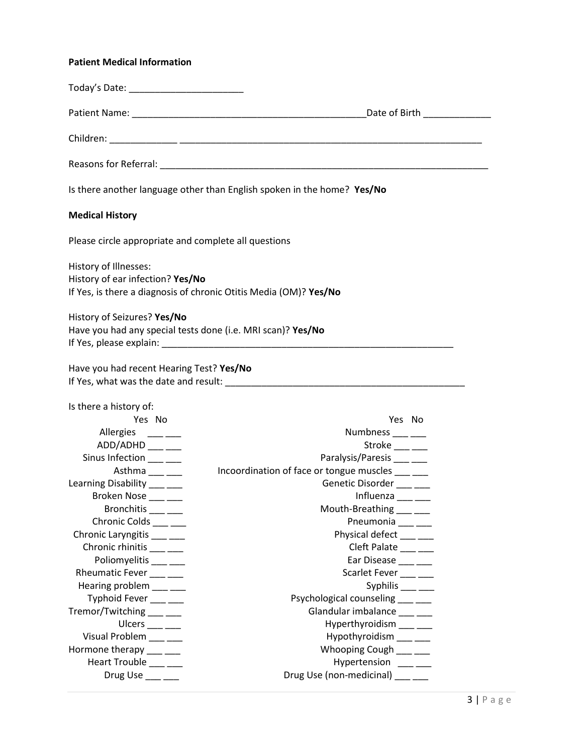# **Patient Medical Information**

|                                                                                            | Is there another language other than English spoken in the home? Yes/No                                        |
|--------------------------------------------------------------------------------------------|----------------------------------------------------------------------------------------------------------------|
| <b>Medical History</b>                                                                     |                                                                                                                |
| Please circle appropriate and complete all questions                                       |                                                                                                                |
| History of Illnesses:<br>History of ear infection? Yes/No                                  | If Yes, is there a diagnosis of chronic Otitis Media (OM)? Yes/No                                              |
| History of Seizures? Yes/No<br>Have you had any special tests done (i.e. MRI scan)? Yes/No | If Yes, please explain: The same state of the state of the state of the state of the state of the state of the |
| Have you had recent Hearing Test? Yes/No                                                   |                                                                                                                |
| Is there a history of:                                                                     |                                                                                                                |
| Yes No                                                                                     | Yes No                                                                                                         |
| Allergies ____ ___                                                                         | Numbness ____ ___                                                                                              |
| ADD/ADHD ___ __                                                                            | Stroke $\_\_\_\_\_\_\_\_\$                                                                                     |
| Sinus Infection ___ ___                                                                    | Paralysis/Paresis ____ __                                                                                      |
| Asthma $\frac{1}{1}$                                                                       | Incoordination of face or tongue muscles ___ __                                                                |
| Learning Disability ____ __                                                                | Genetic Disorder ___ __                                                                                        |
| Broken Nose ___ __                                                                         | Influenza ___ __                                                                                               |
| Bronchitis ___ __                                                                          | Mouth-Breathing ___ __                                                                                         |
| Chronic Colds ___ __                                                                       | Pneumonia ___ __                                                                                               |
| Chronic Laryngitis ___ __                                                                  | Physical defect ___ __                                                                                         |
| Chronic rhinitis ___ __                                                                    | Cleft Palate ___ __                                                                                            |
| Poliomyelitis ___ __                                                                       | Ear Disease ____ __                                                                                            |
| Rheumatic Fever ____ ___                                                                   | Scarlet Fever ____ ___                                                                                         |
| Hearing problem ___ __                                                                     | Syphilis $\frac{\ }{\ }$                                                                                       |
| Typhoid Fever ___ ___                                                                      | Psychological counseling ____ ___                                                                              |
| Tremor/Twitching ___ __                                                                    | Glandular imbalance ___ __                                                                                     |
| Ulcers $\_\_\_\_\_\_\_\_\_\$                                                               | Hyperthyroidism ___ __                                                                                         |
| Visual Problem ___ __                                                                      | Hypothyroidism ___ __                                                                                          |
| Hormone therapy ___ __                                                                     | Whooping Cough ___ __                                                                                          |
| Heart Trouble ___ __                                                                       | Hypertension <sub>___</sub> _                                                                                  |
| Drug Use ___ __                                                                            | Drug Use (non-medicinal) ___ __                                                                                |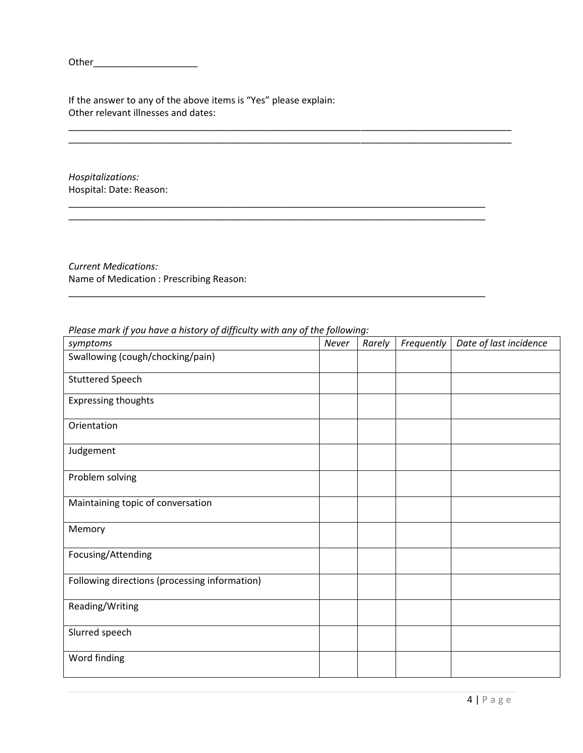Other\_\_\_\_\_\_\_\_\_\_\_\_\_\_\_\_\_\_\_\_

If the answer to any of the above items is "Yes" please explain: Other relevant illnesses and dates:

*Hospitalizations:* Hospital: Date: Reason:

*Current Medications:* Name of Medication : Prescribing Reason:

| rease marking you have a motory by any learly men any by the jonoming.<br>symptoms | Never | Rarely | Frequently | Date of last incidence |
|------------------------------------------------------------------------------------|-------|--------|------------|------------------------|
| Swallowing (cough/chocking/pain)                                                   |       |        |            |                        |
| <b>Stuttered Speech</b>                                                            |       |        |            |                        |
| <b>Expressing thoughts</b>                                                         |       |        |            |                        |
| Orientation                                                                        |       |        |            |                        |
| Judgement                                                                          |       |        |            |                        |
| Problem solving                                                                    |       |        |            |                        |
| Maintaining topic of conversation                                                  |       |        |            |                        |
| Memory                                                                             |       |        |            |                        |
| Focusing/Attending                                                                 |       |        |            |                        |
| Following directions (processing information)                                      |       |        |            |                        |
| Reading/Writing                                                                    |       |        |            |                        |
| Slurred speech                                                                     |       |        |            |                        |
| Word finding                                                                       |       |        |            |                        |

\_\_\_\_\_\_\_\_\_\_\_\_\_\_\_\_\_\_\_\_\_\_\_\_\_\_\_\_\_\_\_\_\_\_\_\_\_\_\_\_\_\_\_\_\_\_\_\_\_\_\_\_\_\_\_\_\_\_\_\_\_\_\_\_\_\_\_\_\_\_\_\_\_\_\_\_\_\_\_\_\_\_\_\_\_

\_\_\_\_\_\_\_\_\_\_\_\_\_\_\_\_\_\_\_\_\_\_\_\_\_\_\_\_\_\_\_\_\_\_\_\_\_\_\_\_\_\_\_\_\_\_\_\_\_\_\_\_\_\_\_\_\_\_\_\_\_\_\_\_\_\_\_\_\_\_\_\_\_\_\_\_\_\_\_\_

\_\_\_\_\_\_\_\_\_\_\_\_\_\_\_\_\_\_\_\_\_\_\_\_\_\_\_\_\_\_\_\_\_\_\_\_\_\_\_\_\_\_\_\_\_\_\_\_\_\_\_\_\_\_\_\_\_\_\_\_\_\_\_\_\_\_\_\_\_\_\_\_\_\_\_\_\_\_\_\_

\_\_\_\_\_\_\_\_\_\_\_\_\_\_\_\_\_\_\_\_\_\_\_\_\_\_\_\_\_\_\_\_\_\_\_\_\_\_\_\_\_\_\_\_\_\_\_\_\_\_\_\_\_\_\_\_\_\_\_\_\_\_\_\_\_\_\_\_\_\_\_\_\_\_\_\_\_\_\_\_

*Please mark if you have a history of difficulty with any of the following:*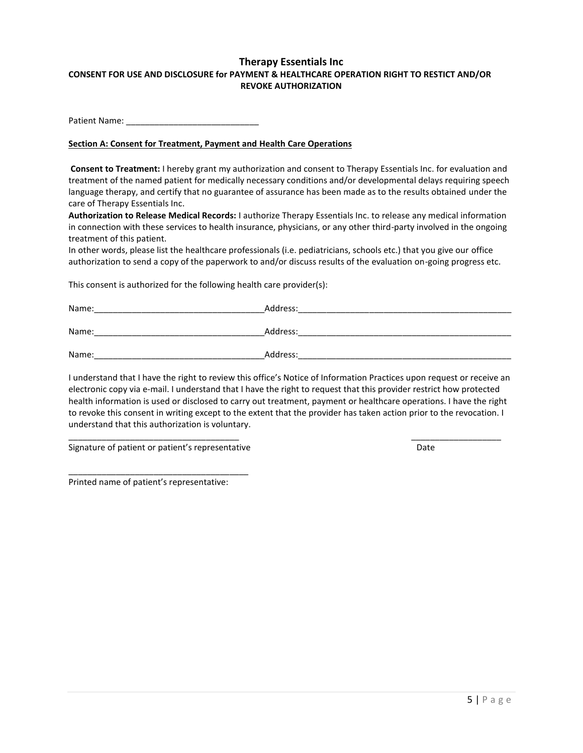# **Therapy Essentials Inc CONSENT FOR USE AND DISCLOSURE for PAYMENT & HEALTHCARE OPERATION RIGHT TO RESTICT AND/OR REVOKE AUTHORIZATION**

Patient Name: \_\_\_\_\_\_\_\_\_\_\_\_\_\_\_\_\_\_\_\_\_\_\_\_\_\_\_\_

#### **Section A: Consent for Treatment, Payment and Health Care Operations**

**Consent to Treatment:** I hereby grant my authorization and consent to Therapy Essentials Inc. for evaluation and treatment of the named patient for medically necessary conditions and/or developmental delays requiring speech language therapy, and certify that no guarantee of assurance has been made as to the results obtained under the care of Therapy Essentials Inc.

**Authorization to Release Medical Records:** I authorize Therapy Essentials Inc. to release any medical information in connection with these services to health insurance, physicians, or any other third-party involved in the ongoing treatment of this patient.

In other words, please list the healthcare professionals (i.e. pediatricians, schools etc.) that you give our office authorization to send a copy of the paperwork to and/or discuss results of the evaluation on-going progress etc.

This consent is authorized for the following health care provider(s):

| Name: | Address: |
|-------|----------|
| Name: | Address: |
| Name: | Address: |

I understand that I have the right to review this office's Notice of Information Practices upon request or receive an electronic copy via e-mail. I understand that I have the right to request that this provider restrict how protected health information is used or disclosed to carry out treatment, payment or healthcare operations. I have the right to revoke this consent in writing except to the extent that the provider has taken action prior to the revocation. I understand that this authorization is voluntary.

\_\_\_\_\_\_\_\_\_\_\_\_\_\_\_\_\_\_\_\_\_\_\_\_\_\_\_\_\_\_\_\_\_\_\_\_ \_\_\_\_\_\_\_\_\_\_\_\_\_\_\_\_\_\_\_

Signature of patient or patient's representative Date Date Date

\_\_\_\_\_\_\_\_\_\_\_\_\_\_\_\_\_\_\_\_\_\_\_\_\_\_\_\_\_\_\_\_\_\_\_\_\_\_

Printed name of patient's representative: